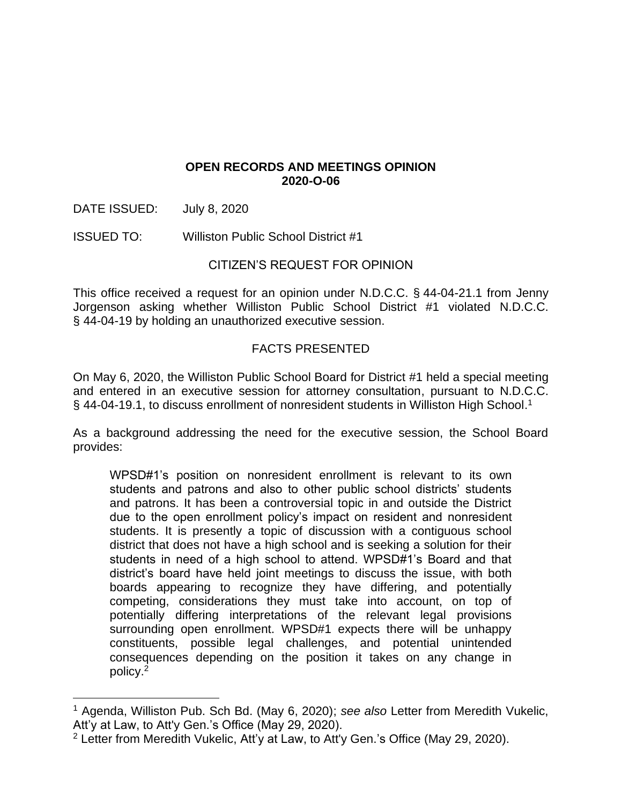### **OPEN RECORDS AND MEETINGS OPINION 2020-O-06**

DATE ISSUED: July 8, 2020

ISSUED TO: Williston Public School District #1

### CITIZEN'S REQUEST FOR OPINION

This office received a request for an opinion under N.D.C.C. § 44-04-21.1 from Jenny Jorgenson asking whether Williston Public School District #1 violated N.D.C.C. § 44-04-19 by holding an unauthorized executive session.

## FACTS PRESENTED

On May 6, 2020, the Williston Public School Board for District #1 held a special meeting and entered in an executive session for attorney consultation, pursuant to N.D.C.C. § 44-04-19.1, to discuss enrollment of nonresident students in Williston High School.<sup>1</sup>

As a background addressing the need for the executive session, the School Board provides:

WPSD#1's position on nonresident enrollment is relevant to its own students and patrons and also to other public school districts' students and patrons. It has been a controversial topic in and outside the District due to the open enrollment policy's impact on resident and nonresident students. It is presently a topic of discussion with a contiguous school district that does not have a high school and is seeking a solution for their students in need of a high school to attend. WPSD#1's Board and that district's board have held joint meetings to discuss the issue, with both boards appearing to recognize they have differing, and potentially competing, considerations they must take into account, on top of potentially differing interpretations of the relevant legal provisions surrounding open enrollment. WPSD#1 expects there will be unhappy constituents, possible legal challenges, and potential unintended consequences depending on the position it takes on any change in policy.<sup>2</sup>

<sup>1</sup> Agenda, Williston Pub. Sch Bd. (May 6, 2020); *see also* Letter from Meredith Vukelic, Att'y at Law, to Att'y Gen.'s Office (May 29, 2020).

<sup>2</sup> Letter from Meredith Vukelic, Att'y at Law, to Att'y Gen.'s Office (May 29, 2020).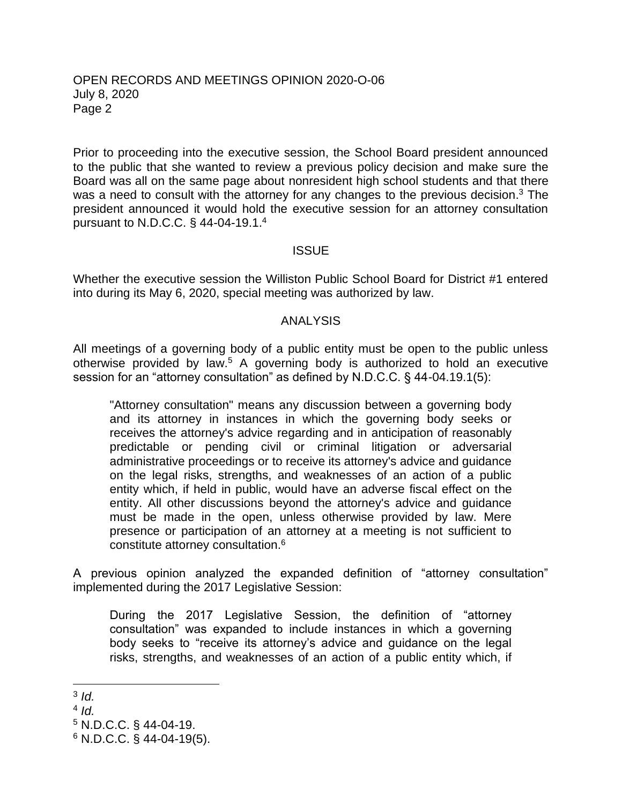#### OPEN RECORDS AND MEETINGS OPINION 2020-O-06 July 8, 2020 Page 2

Prior to proceeding into the executive session, the School Board president announced to the public that she wanted to review a previous policy decision and make sure the Board was all on the same page about nonresident high school students and that there was a need to consult with the attorney for any changes to the previous decision.<sup>3</sup> The president announced it would hold the executive session for an attorney consultation pursuant to N.D.C.C. § 44-04-19.1.<sup>4</sup>

### **ISSUE**

Whether the executive session the Williston Public School Board for District #1 entered into during its May 6, 2020, special meeting was authorized by law.

#### ANALYSIS

All meetings of a governing body of a public entity must be open to the public unless otherwise provided by law.<sup>5</sup> A governing body is authorized to hold an executive session for an "attorney consultation" as defined by N.D.C.C. § 44-04.19.1(5):

"Attorney consultation" means any discussion between a governing body and its attorney in instances in which the governing body seeks or receives the attorney's advice regarding and in anticipation of reasonably predictable or pending civil or criminal litigation or adversarial administrative proceedings or to receive its attorney's advice and guidance on the legal risks, strengths, and weaknesses of an action of a public entity which, if held in public, would have an adverse fiscal effect on the entity. All other discussions beyond the attorney's advice and guidance must be made in the open, unless otherwise provided by law. Mere presence or participation of an attorney at a meeting is not sufficient to constitute attorney consultation.<sup>6</sup>

A previous opinion analyzed the expanded definition of "attorney consultation" implemented during the 2017 Legislative Session:

During the 2017 Legislative Session, the definition of "attorney consultation" was expanded to include instances in which a governing body seeks to "receive its attorney's advice and guidance on the legal risks, strengths, and weaknesses of an action of a public entity which, if

<sup>3</sup> *Id.*

<sup>4</sup> *Id.*

<sup>5</sup> N.D.C.C. § 44-04-19.

 $6$  N.D.C.C. § 44-04-19(5).